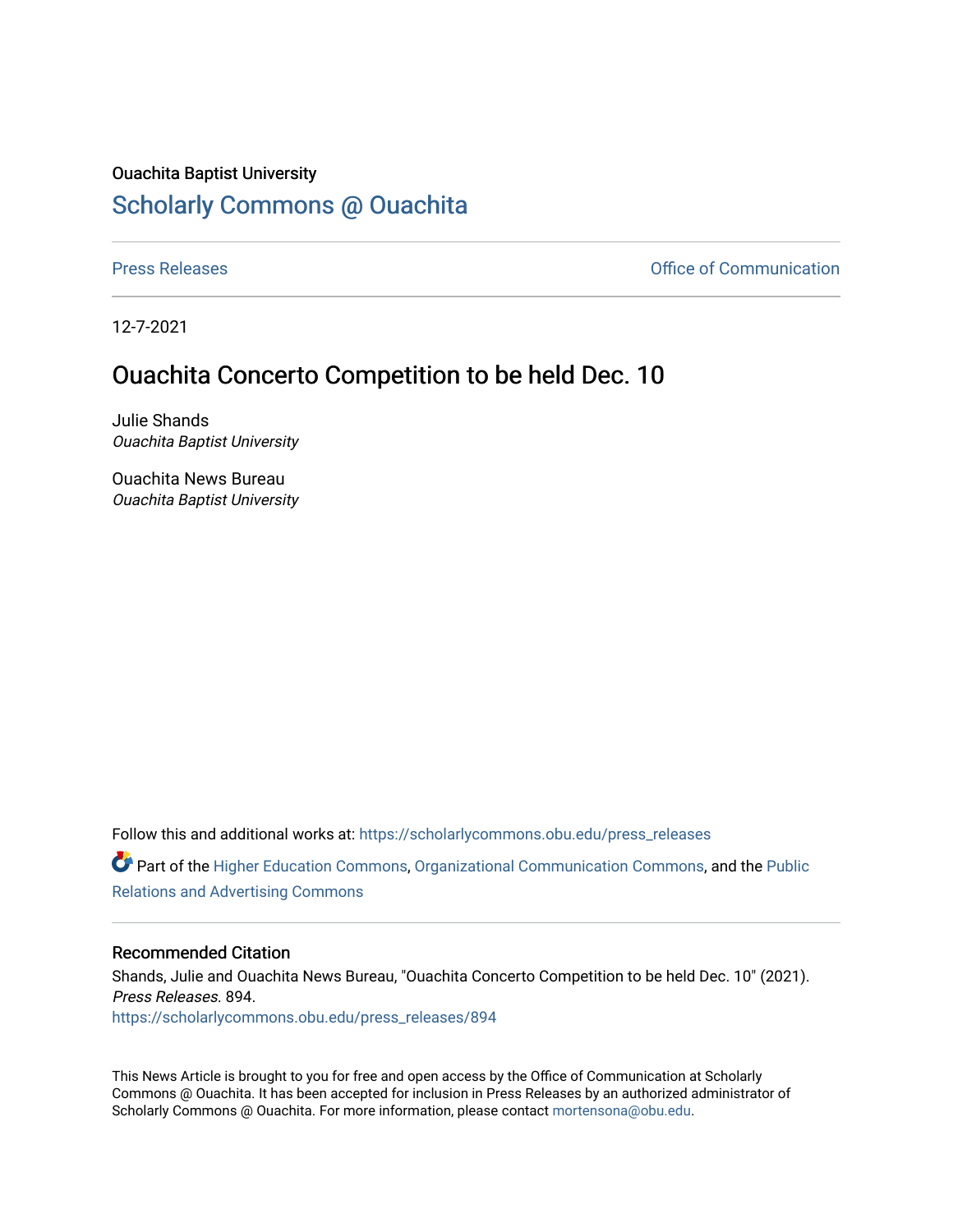## Ouachita Baptist University [Scholarly Commons @ Ouachita](https://scholarlycommons.obu.edu/)

[Press Releases](https://scholarlycommons.obu.edu/press_releases) **Press Releases Communication** 

12-7-2021

## Ouachita Concerto Competition to be held Dec. 10

Julie Shands Ouachita Baptist University

Ouachita News Bureau Ouachita Baptist University

Follow this and additional works at: [https://scholarlycommons.obu.edu/press\\_releases](https://scholarlycommons.obu.edu/press_releases?utm_source=scholarlycommons.obu.edu%2Fpress_releases%2F894&utm_medium=PDF&utm_campaign=PDFCoverPages)

Part of the [Higher Education Commons,](http://network.bepress.com/hgg/discipline/1245?utm_source=scholarlycommons.obu.edu%2Fpress_releases%2F894&utm_medium=PDF&utm_campaign=PDFCoverPages) [Organizational Communication Commons,](http://network.bepress.com/hgg/discipline/335?utm_source=scholarlycommons.obu.edu%2Fpress_releases%2F894&utm_medium=PDF&utm_campaign=PDFCoverPages) and the [Public](http://network.bepress.com/hgg/discipline/336?utm_source=scholarlycommons.obu.edu%2Fpress_releases%2F894&utm_medium=PDF&utm_campaign=PDFCoverPages) [Relations and Advertising Commons](http://network.bepress.com/hgg/discipline/336?utm_source=scholarlycommons.obu.edu%2Fpress_releases%2F894&utm_medium=PDF&utm_campaign=PDFCoverPages) 

## Recommended Citation

Shands, Julie and Ouachita News Bureau, "Ouachita Concerto Competition to be held Dec. 10" (2021). Press Releases. 894. [https://scholarlycommons.obu.edu/press\\_releases/894](https://scholarlycommons.obu.edu/press_releases/894?utm_source=scholarlycommons.obu.edu%2Fpress_releases%2F894&utm_medium=PDF&utm_campaign=PDFCoverPages)

This News Article is brought to you for free and open access by the Office of Communication at Scholarly Commons @ Ouachita. It has been accepted for inclusion in Press Releases by an authorized administrator of Scholarly Commons @ Ouachita. For more information, please contact [mortensona@obu.edu](mailto:mortensona@obu.edu).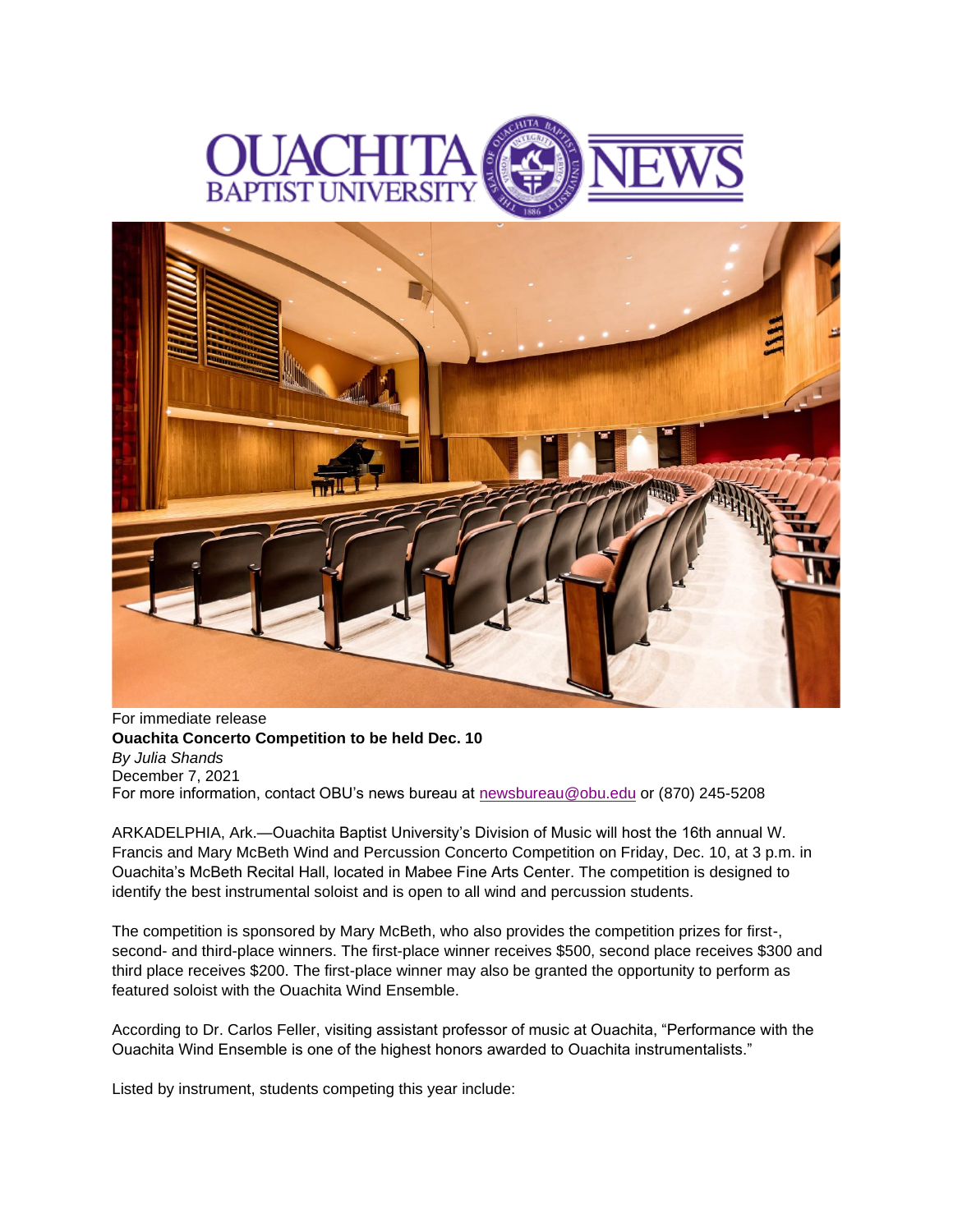



For immediate release **Ouachita Concerto Competition to be held Dec. 10** *By Julia Shands* December 7, 2021 For more information, contact OBU's news bureau at [newsbureau@obu.edu](mailto:newsbureau@obu.edu) or (870) 245-5208

ARKADELPHIA, Ark.—Ouachita Baptist University's Division of Music will host the 16th annual W. Francis and Mary McBeth Wind and Percussion Concerto Competition on Friday, Dec. 10, at 3 p.m. in Ouachita's McBeth Recital Hall, located in Mabee Fine Arts Center. The competition is designed to identify the best instrumental soloist and is open to all wind and percussion students.

The competition is sponsored by Mary McBeth, who also provides the competition prizes for first-, second- and third-place winners. The first-place winner receives \$500, second place receives \$300 and third place receives \$200. The first-place winner may also be granted the opportunity to perform as featured soloist with the Ouachita Wind Ensemble.

According to Dr. Carlos Feller, visiting assistant professor of music at Ouachita, "Performance with the Ouachita Wind Ensemble is one of the highest honors awarded to Ouachita instrumentalists."

Listed by instrument, students competing this year include: